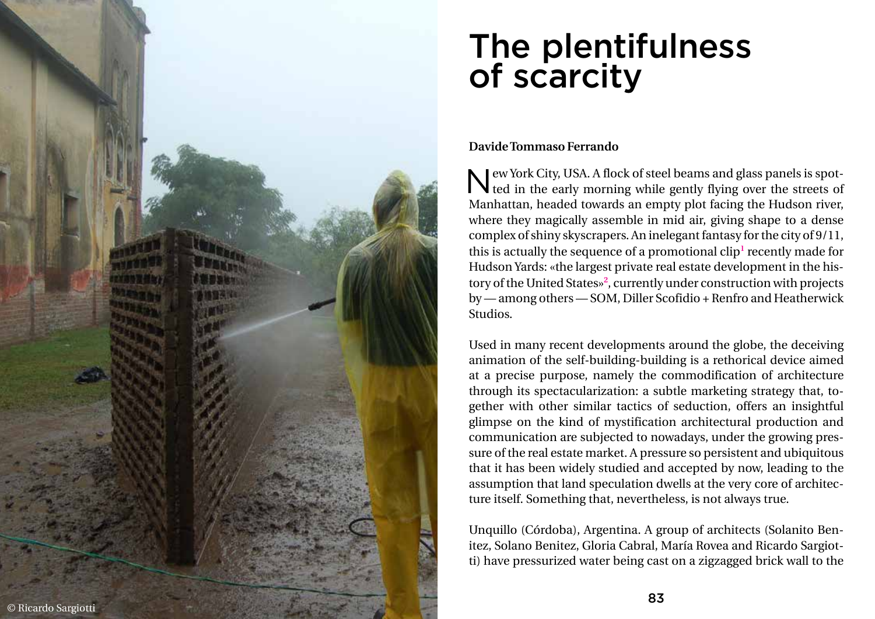## The plentifulness of scarcity

## **Davide Tommaso Ferrando**

New York City, USA. A flock of steel beams and glass panels is spot ted in the early morning while gently flying over the streets of Subseted beams and glass panels is spot-Manhattan, headed towards an empty plot facing the Hudson river, where they magically assemble in mid air, giving shape to a dense complex of shiny skyscrapers. An inelegant fantasy for the city of 9/11, this is actually the sequence of a promotional clip<sup>1</sup> recently made for Hudson Yards: «the largest private real estate development in the his tory of the United States» **2** , currently under construction with projects by — among others — SOM, Diller Scofidio + Renfro and Heatherwick Studios.



Used in many recent developments around the globe, the deceiving animation of the self-building-building is a rethorical device aimed at a precise purpose, namely the commodification of architecture through its spectacularization: a subtle marketing strategy that, to gether with other similar tactics of seduction, offers an insightful glimpse on the kind of mystification architectural production and communication are subjected to nowadays, under the growing pres sure of the real estate market. A pressure so persistent and ubiquitous that it has been widely studied and accepted by now, leading to the assumption that land speculation dwells at the very core of architec ture itself. Something that, nevertheless, is not always true.

Unquillo (Córdoba), Argentina. A group of architects (Solanito Ben itez, Solano Benitez, Gloria Cabral, María Rovea and Ricardo Sargiot ti) have pressurized water being cast on a zigzagged brick wall to the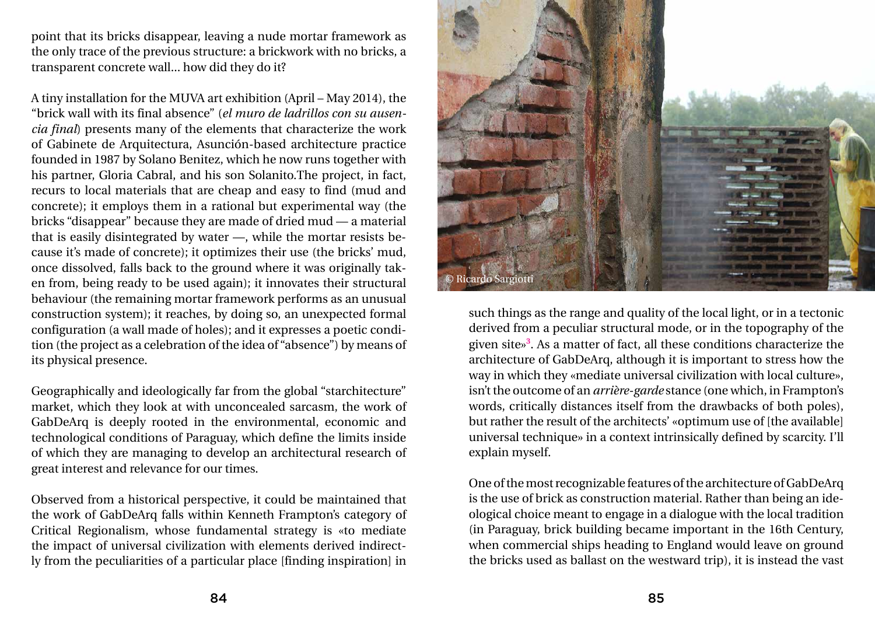point that its bricks disappear, leaving a nude mortar framework as the only trace of the previous structure: a brickwork with no bricks, a transparent concrete wall... how did they do it?

A tiny installation for the MUVA art exhibition (April – May 2014), the "brick wall with its final absence" (*el muro de ladrillos con su ausencia final*) presents many of the elements that characterize the work of Gabinete de Arquitectura, Asunción-based architecture practice founded in 1987 by Solano Benitez, which he now runs together with his partner, Gloria Cabral, and his son Solanito.The project, in fact, recurs to local materials that are cheap and easy to find (mud and concrete); it employs them in a rational but experimental way (the bricks "disappear" because they are made of dried mud — a material that is easily disintegrated by water —, while the mortar resists because it's made of concrete); it optimizes their use (the bricks' mud, once dissolved, falls back to the ground where it was originally taken from, being ready to be used again); it innovates their structural behaviour (the remaining mortar framework performs as an unusual construction system); it reaches, by doing so, an unexpected formal configuration (a wall made of holes); and it expresses a poetic condition (the project as a celebration of the idea of "absence") by means of its physical presence.

Geographically and ideologically far from the global "starchitecture" market, which they look at with unconcealed sarcasm, the work of GabDeArq is deeply rooted in the environmental, economic and technological conditions of Paraguay, which define the limits inside of which they are managing to develop an architectural research of great interest and relevance for our times.

Observed from a historical perspective, it could be maintained that the work of GabDeArq falls within Kenneth Frampton's category of Critical Regionalism, whose fundamental strategy is «to mediate the impact of universal civilization with elements derived indirectly from the peculiarities of a particular place [finding inspiration] in

such things as the range and quality of the local light, or in a tectonic derived from a peculiar structural mode, or in the topography of the given site»**<sup>3</sup>** . As a matter of fact, all these conditions characterize the architecture of GabDeArq, although it is important to stress how the way in which they «mediate universal civilization with local culture», isn't the outcome of an *arrière-garde* stance (one which, in Frampton's words, critically distances itself from the drawbacks of both poles), but rather the result of the architects' «optimum use of [the available] universal technique» in a context intrinsically defined by scarcity. I'll explain myself.

One of the most recognizable features of the architecture of GabDeArq is the use of brick as construction material. Rather than being an ideological choice meant to engage in a dialogue with the local tradition (in Paraguay, brick building became important in the 16th Century, when commercial ships heading to England would leave on ground the bricks used as ballast on the westward trip), it is instead the vast

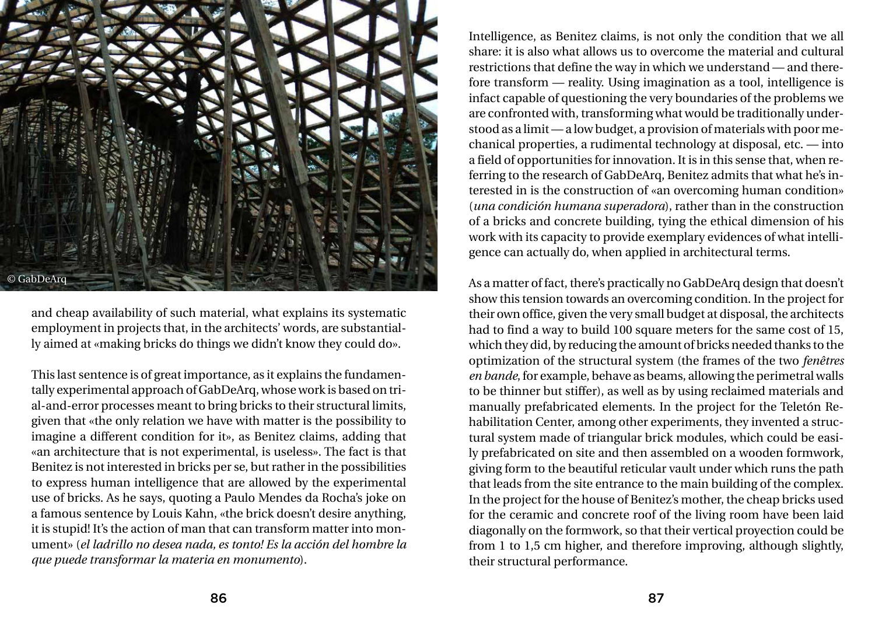and cheap availability of such material, what explains its systematic employment in projects that, in the architects' words, are substantially aimed at «making bricks do things we didn't know they could do».

This last sentence is of great importance, as it explains the fundamentally experimental approach of GabDeArq, whose work is based on trial-and-error processes meant to bring bricks to their structural limits, given that «the only relation we have with matter is the possibility to imagine a different condition for it», as Benitez claims, adding that «an architecture that is not experimental, is useless». The fact is that Benitez is not interested in bricks per se, but rather in the possibilities to express human intelligence that are allowed by the experimental use of bricks. As he says, quoting a Paulo Mendes da Rocha's joke on a famous sentence by Louis Kahn, «the brick doesn't desire anything, it is stupid! It's the action of man that can transform matter into monument» (*el ladrillo no desea nada, es tonto! Es la acción del hombre la que puede transformar la materia en monumento*).

Intelligence, as Benitez claims, is not only the condition that we all share: it is also what allows us to overcome the material and cultural restrictions that define the way in which we understand — and therefore transform — reality. Using imagination as a tool, intelligence is infact capable of questioning the very boundaries of the problems we are confronted with, transforming what would be traditionally understood as a limit — a low budget, a provision of materials with poor mechanical properties, a rudimental technology at disposal, etc. — into a field of opportunities for innovation. It is in this sense that, when referring to the research of GabDeArq, Benitez admits that what he's interested in is the construction of «an overcoming human condition» (*una condición humana superadora*), rather than in the construction of a bricks and concrete building, tying the ethical dimension of his work with its capacity to provide exemplary evidences of what intelligence can actually do, when applied in architectural terms.

As a matter of fact, there's practically no GabDeArq design that doesn't show this tension towards an overcoming condition. In the project for their own office, given the very small budget at disposal, the architects had to find a way to build 100 square meters for the same cost of 15, which they did, by reducing the amount of bricks needed thanks to the optimization of the structural system (the frames of the two *fenêtres en bande*, for example, behave as beams, allowing the perimetral walls to be thinner but stiffer), as well as by using reclaimed materials and manually prefabricated elements. In the project for the Teletón Rehabilitation Center, among other experiments, they invented a structural system made of triangular brick modules, which could be easily prefabricated on site and then assembled on a wooden formwork, giving form to the beautiful reticular vault under which runs the path that leads from the site entrance to the main building of the complex. In the project for the house of Benitez's mother, the cheap bricks used for the ceramic and concrete roof of the living room have been laid diagonally on the formwork, so that their vertical proyection could be from 1 to 1,5 cm higher, and therefore improving, although slightly, their structural performance.